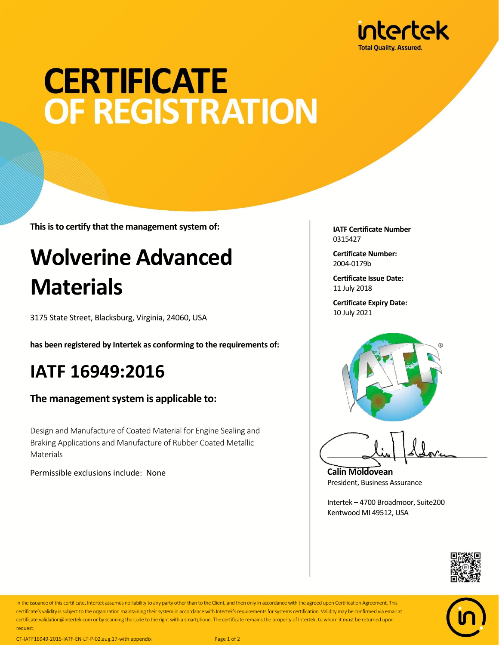

# **CERTIFICATE** OF REGISTRATION

**This is to certify that the management system of:**

## **Wolverine Advanced Materials**

3175 State Street, Blacksburg, Virginia, 24060, USA

**has been registered by Intertek as conforming to the requirements of:**

### **IATF 16949:2016**

#### **The management system is applicable to:**

Design and Manufacture of Coated Material for Engine Sealing and Braking Applications and Manufacture of Rubber Coated Metallic Materials

Permissible exclusions include: None

**IATF Certificate Number** 0315427

**Certificate Number:** 2004-0179b

**Certificate Issue Date:** 11 July 2018

**Certificate Expiry Date:** 10 July 2021



**Calin Moldovean** President, Business Assurance

Intertek – 4700 Broadmoor, Suite200 Kentwood MI 49512, USA





In the issuance of this certificate, Intertek assumes no liability to any party other than to the Client, and then only in accordance with the agreed upon Certification Agreement. This certificate's validity is subject to the organization maintaining their system in accordance with Intertek's requirements for systems certification. Validity may be confirmed via email at certificate.validation@intertek.com or by scanning the code to the right with a smartphone. The certificate remains the property of Intertek, to whom it must be returned upon request.

CT-IATF16949-2016-IATF-EN-LT-P-02.aug.17-with appendix Page 1 of 2